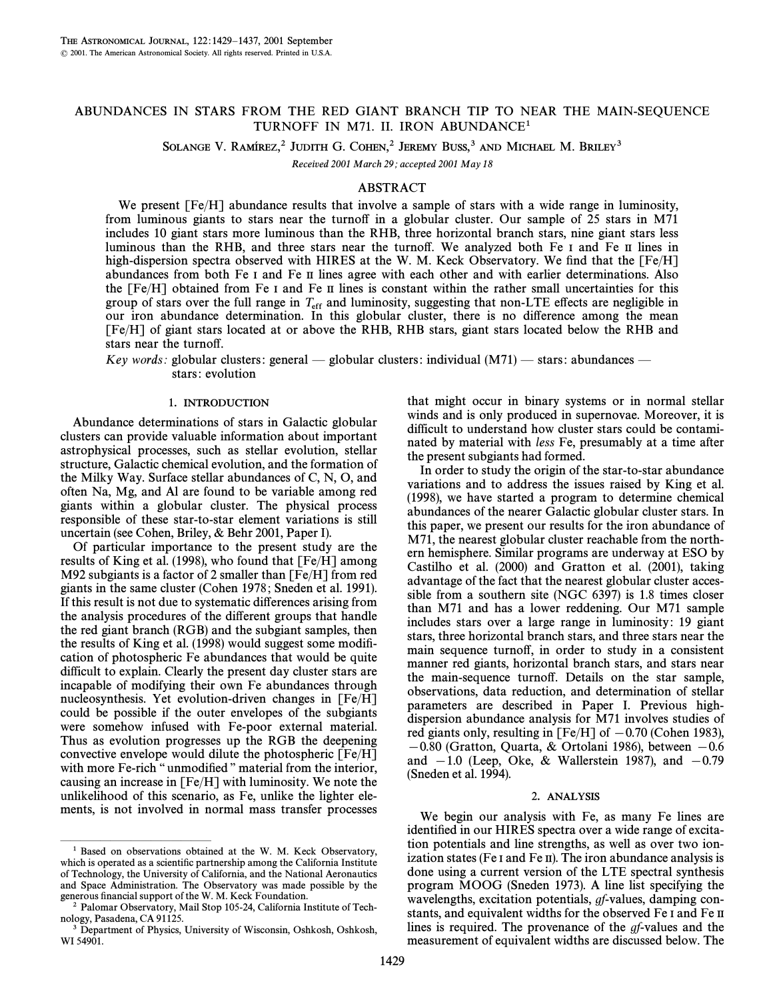# ABUNDANCES IN STARS FROM THE RED GIANT BRANCH TIP TO NEAR THE MAIN-SEQUENCE TURNOFF IN M71. II. IRON ABUNDANCE1

SOLANGE V. RAMÍREZ,<sup>2</sup> JUDITH G. COHEN,<sup>2</sup> JEREMY BUSS,<sup>3</sup> AND MICHAEL M. BRILEY<sup>3</sup>

Received 2001 March 29; accepted 2001 May 18

# ABSTRACT

We present  $[Fe/H]$  abundance results that involve a sample of stars with a wide range in luminosity, from luminous giants to stars near the turno† in a globular cluster. Our sample of 25 stars in M71 includes 10 giant stars more luminous than the RHB, three horizontal branch stars, nine giant stars less luminous than the RHB, and three stars near the turnoff. We analyzed both Fe I and Fe II lines in high-dispersion spectra observed with HIRES at the W. M. Keck Observatory. We find that the  $[Fe/H]$ abundances from both Fe I and Fe II lines agree with each other and with earlier determinations. Also the  $[Fe/H]$  obtained from Fe I and Fe II lines is constant within the rather small uncertainties for this group of stars over the full range in  $T_{\text{eff}}$  and luminosity, suggesting that non-LTE effects are negligible in our iron abundance determination. In this globular cluster, there is no difference among the mean [Fe/H] of giant stars located at or above the RHB, RHB stars, giant stars located below the RHB and stars near the turnoff.

Key words: globular clusters: general — globular clusters: individual  $(M71)$  — stars: abundances stars: evolution

# 1. INTRODUCTION

Abundance determinations of stars in Galactic globular clusters can provide valuable information about important astrophysical processes, such as stellar evolution, stellar structure, Galactic chemical evolution, and the formation of the Milky Way. Surface stellar abundances of C, N, O, and often Na, Mg, and Al are found to be variable among red giants within a globular cluster. The physical process responsible of these star-to-star element variations is still uncertain (see Cohen, Briley, & Behr 2001, Paper I).

Of particular importance to the present study are the results of King et al. (1998), who found that [Fe/H] among M92 subgiants is a factor of 2 smaller than [Fe/H] from red giants in the same cluster (Cohen 1978 ; Sneden et al. 1991). If this result is not due to systematic di†erences arising from the analysis procedures of the di†erent groups that handle the red giant branch (RGB) and the subgiant samples, then the results of King et al. (1998) would suggest some modification of photospheric Fe abundances that would be quite difficult to explain. Clearly the present day cluster stars are incapable of modifying their own Fe abundances through nucleosynthesis. Yet evolution-driven changes in [Fe/H] could be possible if the outer envelopes of the subgiants were somehow infused with Fe-poor external material. Thus as evolution progresses up the RGB the deepening convective envelope would dilute the photospheric [Fe/H] with more Fe-rich "unmodified" material from the interior, causing an increase in [Fe/H] with luminosity. We note the unlikelihood of this scenario, as Fe, unlike the lighter elements, is not involved in normal mass transfer processes

ÈÈÈÈÈÈÈÈÈÈÈÈÈÈÈ

that might occur in binary systems or in normal stellar winds and is only produced in supernovae. Moreover, it is difficult to understand how cluster stars could be contaminated by material with less Fe, presumably at a time after the present subgiants had formed.

In order to study the origin of the star-to-star abundance variations and to address the issues raised by King et al. (1998), we have started a program to determine chemical abundances of the nearer Galactic globular cluster stars. In this paper, we present our results for the iron abundance of M71, the nearest globular cluster reachable from the northern hemisphere. Similar programs are underway at ESO by Castilho et al. (2000) and Gratton et al. (2001), taking advantage of the fact that the nearest globular cluster accessible from a southern site (NGC 6397) is 1.8 times closer than M71 and has a lower reddening. Our M71 sample includes stars over a large range in luminosity: 19 giant stars, three horizontal branch stars, and three stars near the main sequence turnoff, in order to study in a consistent manner red giants, horizontal branch stars, and stars near the main-sequence turno†. Details on the star sample, observations, data reduction, and determination of stellar parameters are described in Paper I. Previous highdispersion abundance analysis for M71 involves studies of red giants only, resulting in [Fe/H] of  $-0.70$  (Cohen 1983),  $-0.80$  (Gratton, Quarta, & Ortolani 1986), between  $-0.6$ and  $-1.0$  (Leep, Oke, & Wallerstein 1987), and  $-0.79$ (Sneden et al. 1994).

## 2. ANALYSIS

We begin our analysis with Fe, as many Fe lines are identified in our HIRES spectra over a wide range of excitation potentials and line strengths, as well as over two ionization states (Fe I and Fe II). The iron abundance analysis is done using a current version of the LTE spectral synthesis program MOOG (Sneden 1973). A line list specifying the wavelengths, excitation potentials, gf-values, damping constants, and equivalent widths for the observed Fe I and Fe II lines is required. The provenance of the gf-values and the measurement of equivalent widths are discussed below. The

<sup>&</sup>lt;sup>1</sup> Based on observations obtained at the W. M. Keck Observatory, which is operated as a scientific partnership among the California Institute of Technology, the University of California, and the National Aeronautics and Space Administration. The Observatory was made possible by the generous financial support of the W. M. Keck Foundation.

<sup>&</sup>lt;sup>2</sup> Palomar Observatory, Mail Stop 105-24, California Institute of Technology, Pasadena, CA 91125.

Department of Physics, University of Wisconsin, Oshkosh, Oshkosh, WI 54901.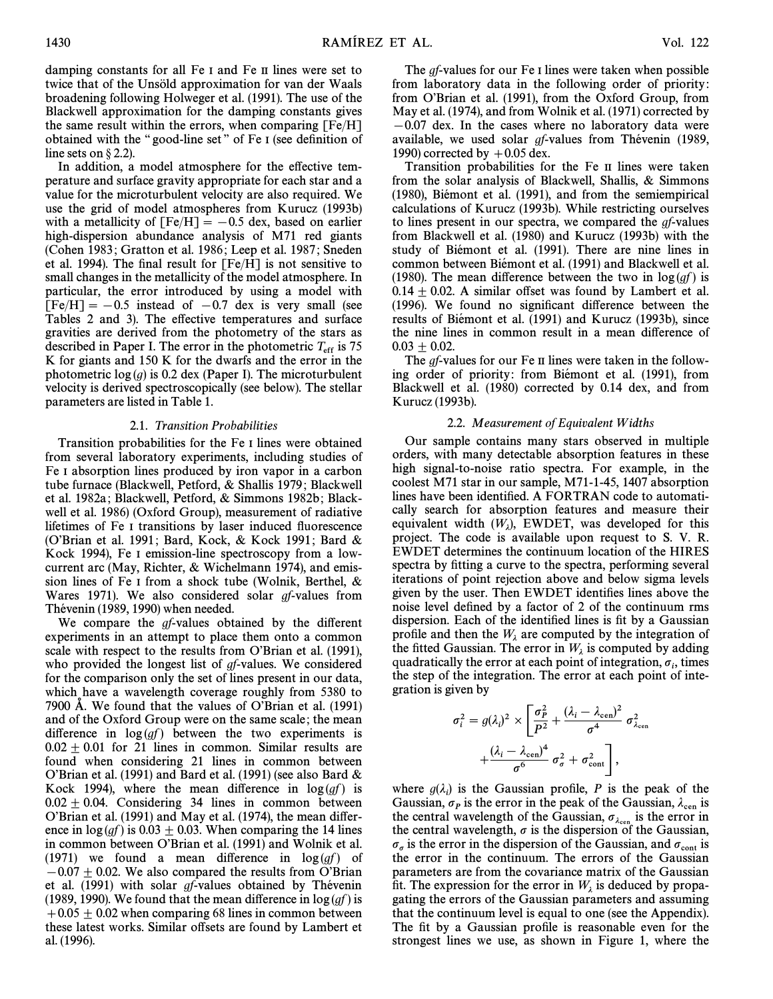damping constants for all Fe I and Fe II lines were set to twice that of the Unsöld approximation for van der Waals broadening following Holweger et al. (1991). The use of the Blackwell approximation for the damping constants gives the same result within the errors, when comparing  $[Fe/H]$ obtained with the "good-line set" of Fe I (see definition of line sets on  $\S$  2.2).

In addition, a model atmosphere for the effective temperature and surface gravity appropriate for each star and a value for the microturbulent velocity are also required. We use the grid of model atmospheres from Kurucz (1993b) with a metallicity of  $[Fe/H] = -0.5$  dex, based on earlier high-dispersion abundance analysis of M71 red giants (Cohen 1983; Gratton et al. 1986; Leep et al. 1987; Sneden et al. 1994). The final result for  $[Fe/H]$  is not sensitive to small changes in the metallicity of the model atmosphere. In particular, the error introduced by using a model with  $[Fe/H] = -0.5$  instead of  $-0.7$  dex is very small (see Tables 2 and 3). The effective temperatures and surface gravities are derived from the photometry of the stars as described in Paper I. The error in the photometric  $T_{\text{eff}}$  is 75 K for giants and 150 K for the dwarfs and the error in the photometric  $log(g)$  is 0.2 dex (Paper I). The microturbulent velocity is derived spectroscopically (see below). The stellar parameters are listed in Table 1.

#### 2.1. Transition Probabilities

Transition probabilities for the Fe I lines were obtained from several laboratory experiments, including studies of Fe I absorption lines produced by iron vapor in a carbon tube furnace (Blackwell, Petford, & Shallis 1979 ; Blackwell et al. 1982a ; Blackwell, Petford, & Simmons 1982b ; Blackwell et al. 1986) (Oxford Group), measurement of radiative lifetimes of Fe I transitions by laser induced fluorescence (O'Brian et al. 1991; Bard, Kock, & Kock 1991; Bard & Kock 1994), Fe I emission-line spectroscopy from a lowcurrent arc (May, Richter, & Wichelmann 1974), and emission lines of Fe I from a shock tube (Wolnik, Berthel, & Wares 1971). We also considered solar *gf*-values from Thévenin (1989, 1990) when needed.

We compare the  $gf$ -values obtained by the different experiments in an attempt to place them onto a common scale with respect to the results from O'Brian et al. (1991), who provided the longest list of gf-values. We considered for the comparison only the set of lines present in our data, which have a wavelength coverage roughly from 5380 to 7900 Å. We found that the values of O'Brian et al.  $(1991)$ and of the Oxford Group were on the same scale ; the mean difference in  $log(gf)$  between the two experiments is  $0.02 \pm 0.01$  for 21 lines in common. Similar results are found when considering 21 lines in common between O'Brian et al. (1991) and Bard et al. (1991) (see also Bard  $\&$ Kock 1994), where the mean difference in  $log(qf)$  is  $0.02 \pm 0.04$ . Considering 34 lines in common between O'Brian et al. (1991) and May et al. (1974), the mean difference in  $\log(qf)$  is 0.03  $\pm$  0.03. When comparing the 14 lines in common between O'Brian et al. (1991) and Wolnik et al. (1971) we found a mean difference in  $log(qf)$  of  $-0.07\pm 0.02$ . We also compared the results from O'Brian et al.  $(1991)$  with solar gf-values obtained by Thévenin (1989, 1990). We found that the mean difference in  $\log(qf)$  is  $+0.05\pm 0.02$  when comparing 68 lines in common between these latest works. Similar offsets are found by Lambert et al. (1996).

The *gf*-values for our Fe I lines were taken when possible from laboratory data in the following order of priority : from O'Brian et al. (1991), from the Oxford Group, from May et al. (1974), and from Wolnik et al. (1971) corrected by  $-0.07$  dex. In the cases where no laboratory data were available, we used solar  $gf$ -values from Thévenin (1989, 1990) corrected by  $+0.05$  dex.

Transition probabilities for the Fe II lines were taken from the solar analysis of Blackwell, Shallis, & Simmons  $(1980)$ , Biémont et al.  $(1991)$ , and from the semiempirical calculations of Kurucz (1993b). While restricting ourselves to lines present in our spectra, we compared the gf-values from Blackwell et al. (1980) and Kurucz (1993b) with the study of Biémont et al. (1991). There are nine lines in common between Biémont et al. (1991) and Blackwell et al. (1980). The mean difference between the two in  $\log(gf)$  is  $0.14 \pm 0.02$ . A similar offset was found by Lambert et al. (1996). We found no significant difference between the results of Biémont et al. (1991) and Kurucz (1993b), since the nine lines in common result in a mean difference of  $0.03 \pm 0.02$ .

The  $gf$ -values for our Fe  $\pi$  lines were taken in the following order of priority: from Biémont et al. (1991), from Blackwell et al. (1980) corrected by 0.14 dex, and from Kurucz (1993b).

## 2.2. Measurement of Equivalent W idths

Our sample contains many stars observed in multiple orders, with many detectable absorption features in these high signal-to-noise ratio spectra. For example, in the coolest M71 star in our sample, M71-1-45, 1407 absorption lines have been identified. A FORTRAN code to automatically search for absorption features and measure their equivalent width  $(W_{\lambda})$ , EWDET, was developed for this project. The code is available upon request to S V B project. The code is available upon request to S. V. R. EWDET determines the continuum location of the HIRES spectra by fitting a curve to the spectra, performing several iterations of point rejection above and below sigma levels given by the user. Then EWDET identifies lines above the noise level defined by a factor of 2 of the continuum rms dispersion. Each of the identified lines is fit by a Gaussian profile and then the  $W_{\lambda}$  are computed by the integration of the fitted Gaussian. The error in  $W_{\lambda}$  is computed by adding quadratically the error at each point of integration,  $\sigma_i$ , times  $t$  the step of the integration. The error at each point of integration is given by

given by  
\n
$$
\sigma_i^2 = g(\lambda_i)^2 \times \left[ \frac{\sigma_P^2}{P^2} + \frac{(\lambda_i - \lambda_{\text{cen}})^2}{\sigma^4} \sigma_{\lambda_{\text{cen}}}^2 + \frac{(\lambda_i - \lambda_{\text{cen}})^4}{\sigma^6} \sigma_\sigma^2 + \sigma_{\text{cont}}^2 \right],
$$

where  $g(\lambda_i)$  is the Gaussian profile, P is the peak of the Gaussian  $\tau$  is the error in the peak of the Gaussian  $\lambda_i$  is Gaussian,  $\sigma_p$  is the error in the peak of the Gaussian,  $\lambda_{\text{cen}}$  is the error in the central wavelength of the Gaussian,  $\sigma_{\lambda_{\text{cen}}}$  is the error in the central wavelength,  $\sigma$  is the dispersion of the Gaussian,  $\sigma_{\sigma}$  is the error in the dispersion of the Gaussian, and  $\sigma_{\text{cont}}$  is the error in the continuum. The errors of the Gaussian parameters are from the covariance matrix of the Gaussian fit. The expression for the error in  $W_{\lambda}$  is deduced by propagating the errors of the Gaussian parameters and assuming that the continuum level is equal to one (see the Appendix). The fit by a Gaussian profile is reasonable even for the strongest lines we use, as shown in Figure 1, where the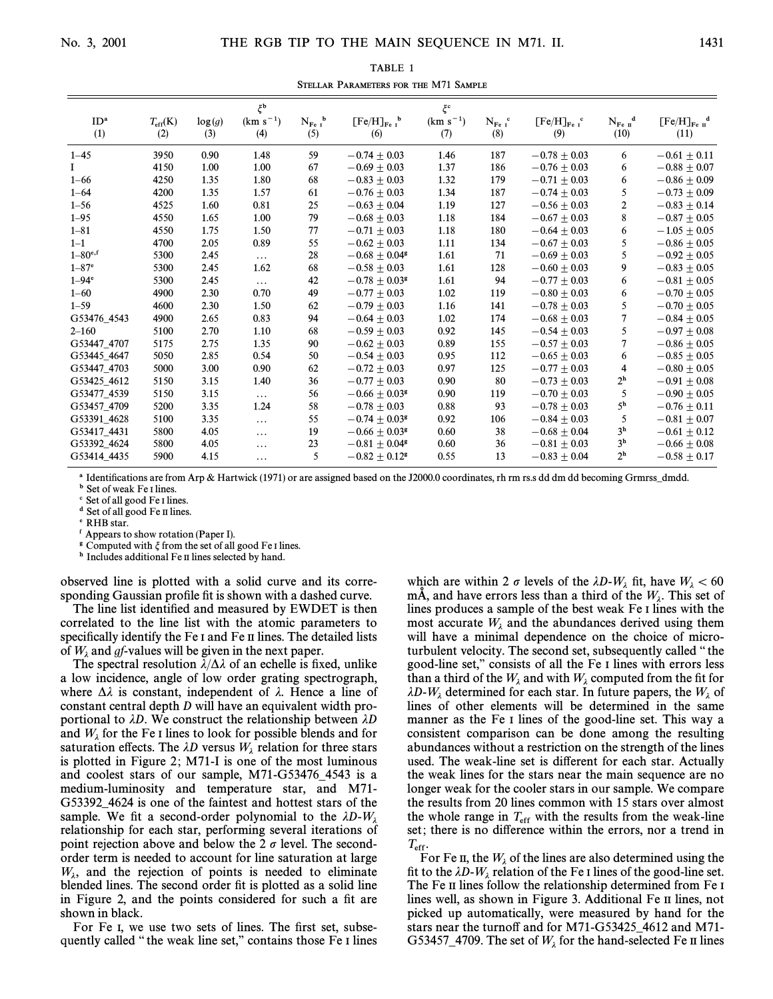TABLE 1 STELLAR PARAMETERS FOR THE M71 SAMPLE

|                        |                          |               | $\xi^{\rm b}$        |                               |                                     | $\xi^{\rm c}$        |                               |                          |                                       |                                       |
|------------------------|--------------------------|---------------|----------------------|-------------------------------|-------------------------------------|----------------------|-------------------------------|--------------------------|---------------------------------------|---------------------------------------|
| ID <sup>a</sup><br>(1) | $T_{\rm eff}$ (K)<br>(2) | log(g)<br>(3) | $(km s^{-1})$<br>(4) | $N_{\rm Fe~I}^{\rm b}$<br>(5) | $[Fe/H]_{Fe I}$ <sup>b</sup><br>(6) | $(km s^{-1})$<br>(7) | $N_{\rm Fe~I}^{\rm~c}$<br>(8) | $[Fe/H]_{Fe~I}$ °<br>(9) | $N_{\text{Fe II}}^{\text{d}}$<br>(10) | $[Fe/H]_{Fe~II}$ <sup>d</sup><br>(11) |
| $1 - 45$               | 3950                     | 0.90          | 1.48                 | 59                            | $-0.74 \pm 0.03$                    | 1.46                 | 187                           | $-0.78 \pm 0.03$         | 6                                     | $-0.61 \pm 0.11$                      |
| Ι                      | 4150                     | 1.00          | 1.00                 | 67                            | $-0.69 + 0.03$                      | 1.37                 | 186                           | $-0.76 + 0.03$           | 6                                     | $-0.88 + 0.07$                        |
| $1 - 66$               | 4250                     | 1.35          | 1.80                 | 68                            | $-0.83 + 0.03$                      | 1.32                 | 179                           | $-0.71 + 0.03$           | 6                                     | $-0.86\pm0.09$                        |
| $1 - 64$               | 4200                     | 1.35          | 1.57                 | 61                            | $-0.76 + 0.03$                      | 1.34                 | 187                           | $-0.74 + 0.03$           | 5                                     | $-0.73 \pm 0.09$                      |
| $1 - 56$               | 4525                     | 1.60          | 0.81                 | 25                            | $-0.63 + 0.04$                      | 1.19                 | 127                           | $-0.56 + 0.03$           | $\overline{\mathbf{c}}$               | $-0.83\pm0.14$                        |
| $1 - 95$               | 4550                     | 1.65          | 1.00                 | 79                            | $-0.68 \pm 0.03$                    | 1.18                 | 184                           | $-0.67 + 0.03$           | 8                                     | $-0.87 \pm 0.05$                      |
| $1 - 81$               | 4550                     | 1.75          | 1.50                 | 77                            | $-0.71 + 0.03$                      | 1.18                 | 180                           | $-0.64 + 0.03$           | 6                                     | $-1.05 + 0.05$                        |
| $1 - 1$                | 4700                     | 2.05          | 0.89                 | 55                            | $-0.62 + 0.03$                      | 1.11                 | 134                           | $-0.67 + 0.03$           | 5                                     | $-0.86 \pm 0.05$                      |
| $1 - 80^{e,f}$         | 5300                     | 2.45          | $\cdots$             | 28                            | $-0.68 \pm 0.04$ <sup>g</sup>       | 1.61                 | 71                            | $-0.69 + 0.03$           | 5                                     | $-0.92 \pm 0.05$                      |
| $1 - 87$ <sup>e</sup>  | 5300                     | 2.45          | 1.62                 | 68                            | $-0.58 \pm 0.03$                    | 1.61                 | 128                           | $-0.60\pm0.03$           | 9                                     | $-0.83\pm0.05$                        |
| $1-94^\circ$           | 5300                     | 2.45          | $\cdots$             | 42                            | $-0.78 \pm 0.03$ <sup>g</sup>       | 1.61                 | 94                            | $-0.77 + 0.03$           | 6                                     | $-0.81 \pm 0.05$                      |
| $1 - 60$               | 4900                     | 2.30          | 0.70                 | 49                            | $-0.77 \pm 0.03$                    | 1.02                 | 119                           | $-0.80 + 0.03$           | 6                                     | $-0.70 \pm 0.05$                      |
| $1 - 59$               | 4600                     | 2.30          | 1.50                 | 62                            | $-0.79 \pm 0.03$                    | 1.16                 | 141                           | $-0.78 + 0.03$           | 5                                     | $-0.70 + 0.05$                        |
| G53476_4543            | 4900                     | 2.65          | 0.83                 | 94                            | $-0.64 \pm 0.03$                    | 1.02                 | 174                           | $-0.68 + 0.03$           | 7                                     | $-0.84\pm0.05$                        |
| $2 - 160$              | 5100                     | 2.70          | 1.10                 | 68                            | $-0.59 + 0.03$                      | 0.92                 | 145                           | $-0.54 + 0.03$           | 5                                     | $-0.97 \pm 0.08$                      |
| G53447_4707            | 5175                     | 2.75          | 1.35                 | 90                            | $-0.62 \pm 0.03$                    | 0.89                 | 155                           | $-0.57 + 0.03$           | 7                                     | $-0.86 \pm 0.05$                      |
| G53445_4647            | 5050                     | 2.85          | 0.54                 | 50                            | $-0.54 \pm 0.03$                    | 0.95                 | 112                           | $-0.65\pm0.03$           | 6                                     | $-0.85 \pm 0.05$                      |
| G53447_4703            | 5000                     | 3.00          | 0.90                 | 62                            | $-0.72 + 0.03$                      | 0.97                 | 125                           | $-0.77 + 0.03$           | 4                                     | $-0.80 \pm 0.05$                      |
| G53425 4612            | 5150                     | 3.15          | 1.40                 | 36                            | $-0.77 \pm 0.03$                    | 0.90                 | 80                            | $-0.73 + 0.03$           | 2 <sup>h</sup>                        | $-0.91\pm0.08$                        |
| G53477_4539            | 5150                     | 3.15          | $\cdots$             | 56                            | $-0.66 \pm 0.03$ <sup>g</sup>       | 0.90                 | 119                           | $-0.70 + 0.03$           | 5                                     | $-0.90 \pm 0.05$                      |
| G53457_4709            | 5200                     | 3.35          | 1.24                 | 58                            | $-0.78 \pm 0.03$                    | 0.88                 | 93                            | $-0.78 + 0.03$           | 5 <sup>h</sup>                        | $-0.76 \pm 0.11$                      |
| G53391_4628            | 5100                     | 3.35          | $\cdots$             | 55                            | $-0.74 + 0.03$ <sup>g</sup>         | 0.92                 | 106                           | $-0.84 \pm 0.03$         | 5                                     | $-0.81 + 0.07$                        |
| G53417_4431            | 5800                     | 4.05          | .                    | 19                            | $-0.66 \pm 0.03$ <sup>g</sup>       | 0.60                 | 38                            | $-0.68 + 0.04$           | 3 <sup>h</sup>                        | $-0.61 \pm 0.12$                      |
| G53392_4624            | 5800                     | 4.05          | $\ddots$             | 23                            | $-0.81 \pm 0.04$ <sup>g</sup>       | 0.60                 | 36                            | $-0.81 \pm 0.03$         | 3 <sup>h</sup>                        | $-0.66 \pm 0.08$                      |
| G53414_4435            | 5900                     | 4.15          | $\ddots$             | 5                             | $-0.82 \pm 0.12$ <sup>g</sup>       | 0.55                 | 13                            | $-0.83 + 0.04$           | 2 <sup>h</sup>                        | $-0.58\pm0.17$                        |

<sup>a</sup> Identifications are from Arp & Hartwick (1971) or are assigned based on the J2000.0 coordinates, rh rm rs.s dd dm dd becoming Grmrss\_dmdd.

**b** Set of weak Fe I lines.

c Set of all good Fe I lines.

<sup>d</sup> Set of all good Fe II lines.

e RHB star.

f Appears to show rotation (Paper I).

<sup>g</sup> Computed with  $\xi$  from the set of all good Fe I lines.

 $<sup>h</sup>$  Includes additional Fe II lines selected by hand.</sup>

observed line is plotted with a solid curve and its corresponding Gaussian profile fit is shown with a dashed curve.

The line list identified and measured by EWDET is then correlated to the line list with the atomic parameters to specifically identify the Fe I and Fe II lines. The detailed lists

of  $W_{\lambda}$  and gf-values will be given in the next paper.<br>The spectral resolution  $\lambda/\Delta\lambda$  of an echelle is fixed, unlike a low incidence, angle of low order grating spectrograph, where  $\Delta \lambda$  is constant, independent of  $\lambda$ . Hence a line of constant central depth D will have an equivalent width proportional to  $\lambda D$ . We construct the relationship between  $\lambda D$ and  $W_{\lambda}$  for the Fe I lines to look for possible blends and for saturation effects. The  $\lambda D$  versus  $W_{\lambda}$  relation for three stars is plotted in Figure 2; M71-I is one of the most luminous and coolest stars of our sample, M71-G53476–4543 is a medium-luminosity and temperature star, and M71- G53392\_4624 is one of the faintest and hottest stars of the sample. We fit a second-order polynomial to the  $\lambda D-W_\lambda$ relationship for each star, performing several iterations of point rejection above and below the 2  $\sigma$  level. The secondorder term is needed to account for line saturation at large  $W_{\lambda}$ , and the rejection of points is needed to eliminate<br>blanded lines. The second order fit is plotted as a solid line blended lines. The second order fit is plotted as a solid line in Figure 2, and the points considered for such a fit are shown in black.

For Fe I, we use two sets of lines. The first set, subsequently called "the weak line set," contains those Fe I lines

which are within 2  $\sigma$  levels of the  $\lambda D-W_{\lambda}$  fit, have  $W_{\lambda} < 60$ <br>m $\lambda$  and have errors less than a third of the W. This set of mÅ, and have errors less than a third of the  $W_{\lambda}$ . This set of lines produces a sample of the best weak Ee Lines with the lines produces a sample of the best weak Fe I lines with the most accurate  $W_{\lambda}$  and the abundances derived using them will have a minimal dependence on the choice of microturbulent velocity. The second set, subsequently called "the good-line set," consists of all the Fe I lines with errors less than a third of the  $W_{\lambda}$  and with  $W_{\lambda}$  computed from the fit for  $\lambda D-W_{\lambda}$  determined for each star. In future papers, the  $W_{\lambda}$  of lines of other elements will be determined in the same manner as the Fe I lines of the good-line set. This way a consistent comparison can be done among the resulting abundances without a restriction on the strength of the lines used. The weak-line set is different for each star. Actually the weak lines for the stars near the main sequence are no longer weak for the cooler stars in our sample. We compare the results from 20 lines common with 15 stars over almost the whole range in  $T_{\text{eff}}$  with the results from the weak-line set; there is no difference within the errors, nor a trend in  $T_{\rm eff}$ .

For Fe II, the  $W_{\lambda}$  of the lines are also determined using the fit to the  $\lambda D-W_{\lambda}$  relation of the Fe I lines of the good-line set. The Fe II lines follow the relationship determined from Fe I lines well, as shown in Figure 3. Additional Fe II lines, not picked up automatically, were measured by hand for the stars near the turno† and for M71-G53425–4612 and M71- G53457\_4709. The set of  $W_{\lambda}$  for the hand-selected Fe II lines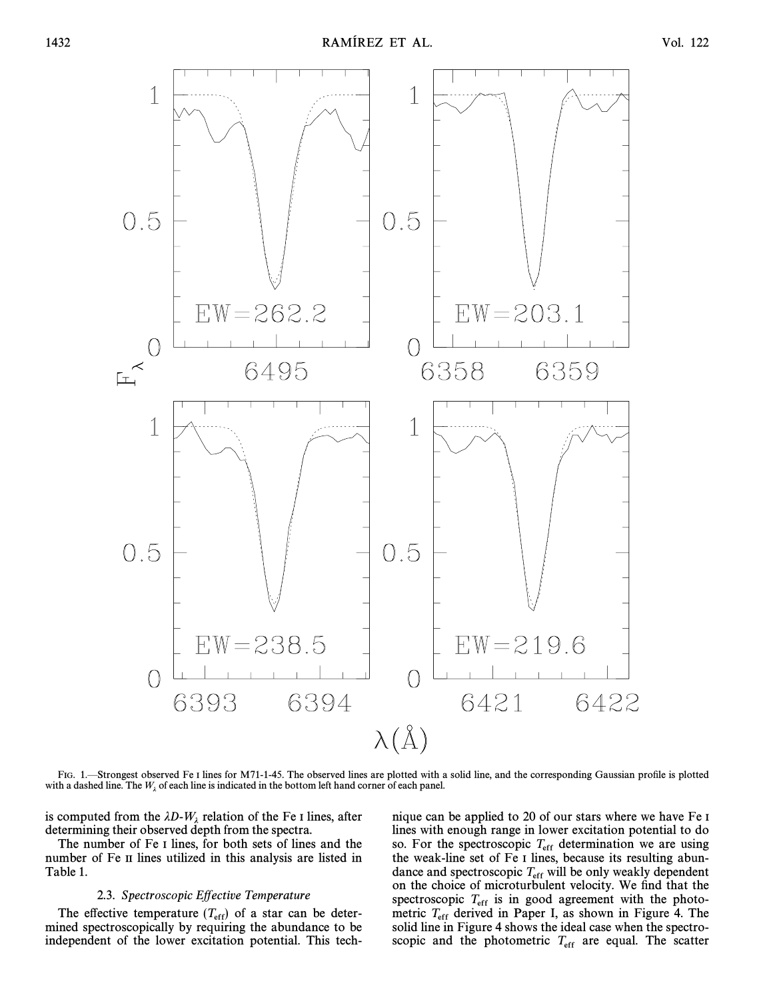

FIG. 1.—Strongest observed Fe I lines for M71-1-45. The observed lines are plotted with a solid line, and the corresponding Gaussian profile is plotted with a dashed line. The  $W_i$  of each line is indicated in the bottom left hand corner of each panel.

is computed from the  $\lambda D-W_\lambda$  relation of the Fe I lines, after determining their observed depth from the spectra.

The number of Fe I lines, for both sets of lines and the number of Fe II lines utilized in this analysis are listed in Table 1.

# 2.3. Spectroscopic Effective Temperature

The effective temperature  $(T_{\text{eff}})$  of a star can be deter-<br>need spectroscopically by requiring the abundance to be mined spectroscopically by requiring the abundance to be independent of the lower excitation potential. This technique can be applied to 20 of our stars where we have Fe I lines with enough range in lower excitation potential to do so. For the spectroscopic  $T_{\text{eff}}$  determination we are using the weak-line set of Fe I lines, because its resulting abundance and spectroscopic  $T_{\text{eff}}$  will be only weakly dependent on the choice of microturbulent velocity. We find that the spectroscopic  $T_{\text{eff}}$  is in good agreement with the photo-<br>metric  $T_{\text{eff}}$  derived in Paper I, as shown in Figure 4. The solid line in Figure 4 shows the ideal case when the spectroscopic and the photometric  $T_{\text{eff}}$  are equal. The scatter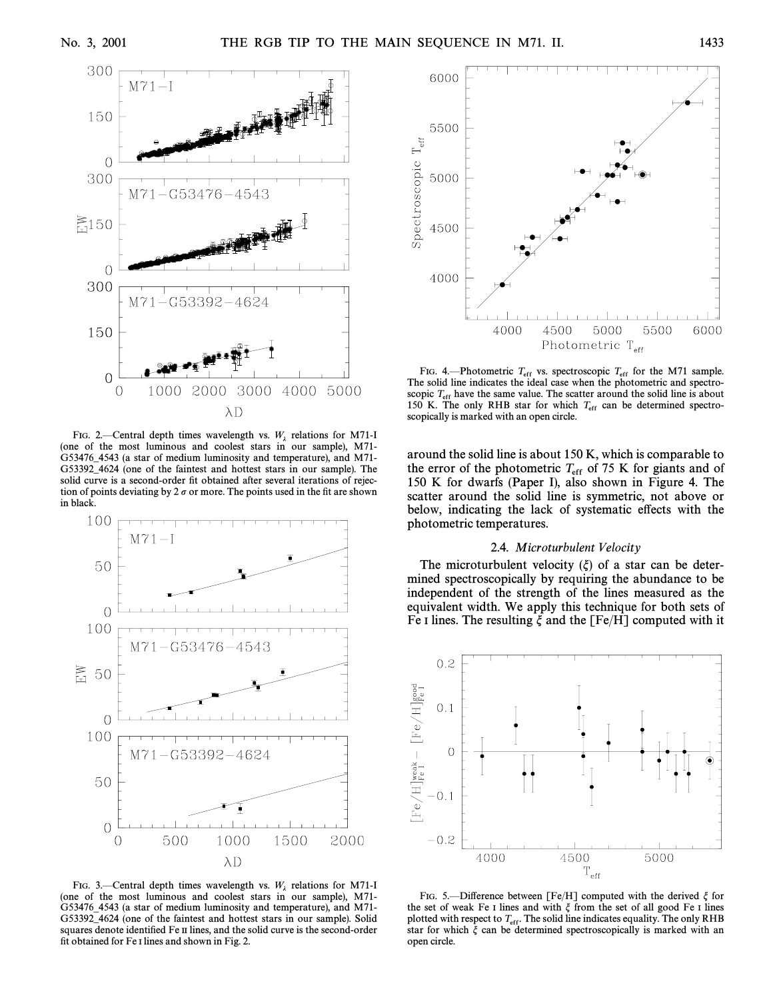

FIG. 2.—Central depth times wavelength vs.  $W_{\lambda}$  relations for M71-I (one of the most luminous and coolest stars in our sample), M71-G53476–4543 (a star of medium luminosity and temperature), and M71- G53392–4624 (one of the faintest and hottest stars in our sample). The solid curve is a second-order fit obtained after several iterations of rejection of points deviating by  $2 \sigma$  or more. The points used in the fit are shown in black.



FIG. 3.—Central depth times wavelength vs.  $W_{\lambda}$  relations for M71-I (one of the most luminous and coolest stars in our sample), M71-G53476–4543 (a star of medium luminosity and temperature), and M71- G53392–4624 (one of the faintest and hottest stars in our sample). Solid squares denote identified Fe II lines, and the solid curve is the second-order fit obtained for Fe I lines and shown in Fig. 2.



FIG. 4.—Photometric  $T_{\text{eff}}$  vs. spectroscopic  $T_{\text{eff}}$  for the M71 sample. The political spectro and spectro The solid line indicates the ideal case when the photometric and spectroscopic  $T_{\text{eff}}$  have the same value. The scatter around the solid line is about 150 K. The only RHB star for which  $T_{\text{eff}}$  can be determined spectroscopically is marked with an open circle.

around the solid line is about 150 K, which is comparable to the error of the photometric  $T_{\text{eff}}$  of 75 K for giants and of 150 K for dwarfs (Paper I), also shown in Figure 4. The scatter around the solid line is symmetric, not above or below, indicating the lack of systematic effects with the photometric temperatures.

## 2.4. Microturbulent Velocity

The microturbulent velocity  $(\xi)$  of a star can be determined spectroscopically by requiring the abundance to be independent of the strength of the lines measured as the equivalent width. We apply this technique for both sets of Fe I lines. The resulting  $\xi$  and the [Fe/H] computed with it



FIG. 5.—Difference between [Fe/H] computed with the derived  $\xi$  for the set of weak Fe I lines and with  $\xi$  from the set of all good Fe I lines plotted with respect to  $T_{\text{eff}}$ . The solid line indicates equality. The only RHB  $_{\text{star}}$  for which  $\zeta$  can be determined spectroscopically is marked with an star for which  $\xi$  can be determined spectroscopically is marked with an open circle.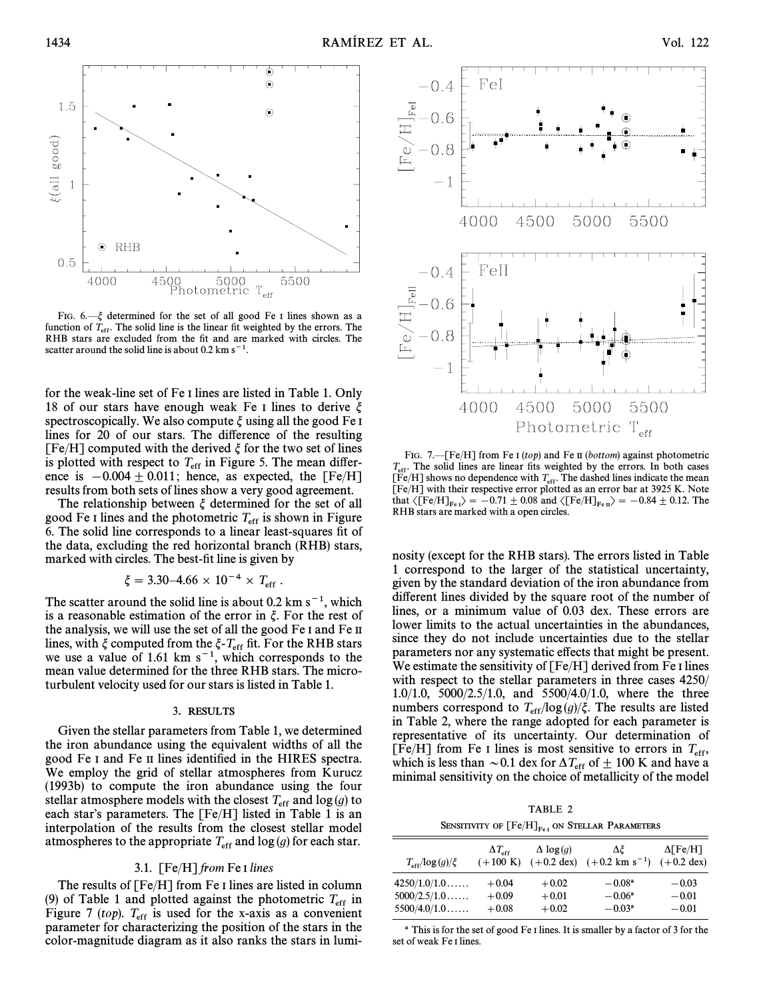

FIG.  $6-\xi$  determined for the set of all good Fe I lines shown as a function of  $T_{\text{eff}}$ . The solid line is the linear fit weighted by the errors. The  $P_{\text{HR}}$  stars are excluded from the fit and are marked with circles. The RHB stars are excluded from the fit and are marked with circles. The scatter around the solid line is about 0.2 km  $s^{-1}$ .

for the weak-line set of Fe I lines are listed in Table 1. Only 18 of our stars have enough weak Fe I lines to derive  $\xi$ spectroscopically. We also compute  $\xi$  using all the good Fe I lines for 20 of our stars. The difference of the resulting [Fe/H] computed with the derived  $\zeta$  for the two set of lines is plotted with respect to  $T_{\text{eff}}$  in Figure 5. The mean difference is  $-0.004 \pm 0.011$ ; hence, as expected, the [Fe/H] results from both sets of lines show a very good agreement.

The relationship between  $\xi$  determined for the set of all good Fe I lines and the photometric  $T_{\text{eff}}$  is shown in Figure 6. The solid line corresponds to a linear least-squares fit of the data, excluding the red horizontal branch (RHB) stars, marked with circles. The best-fit line is given by

$$
\xi = 3.30-4.66 \times 10^{-4} \times T_{\rm eff} \ .
$$

The scatter around the solid line is about 0.2 km  $s^{-1}$ , which is a reasonable estimation of the error in  $\xi$ . For the rest of the analysis, we will use the set of all the good Fe I and Fe II lines, with  $\xi$  computed from the  $\xi$ - $T_{\text{eff}}$  fit. For the RHB stars we use a value of 1.61 km  $s^{-1}$ , which corresponds to the mean value determined for the three RHB stars. The microturbulent velocity used for our stars is listed in Table 1.

### 3. RESULTS

Given the stellar parameters from Table 1, we determined the iron abundance using the equivalent widths of all the good Fe I and Fe II lines identified in the HIRES spectra. We employ the grid of stellar atmospheres from Kurucz (1993b) to compute the iron abundance using the four stellar atmosphere models with the closest  $T_{\text{eff}}$  and log (g) to each star's parameters. The [Fe/H] listed in Table 1 is an interpolation of the results from the closest stellar model atmospheres to the appropriate  $T_{\text{eff}}$  and  $\log(g)$  for each star.

# 3.1. [Fe/H] from Fe I lines

The results of [Fe/H] from Fe I lines are listed in column (9) of Table 1 and plotted against the photometric  $T_{\text{eff}}$  in Figure 7 (top).  $T_{\text{eff}}$  is used for the x-axis as a convenient parameter for characterizing the position of the stars in the color-magnitude diagram as it also ranks the stars in lumi-



FIG. 7.  $[Fe/H]$  from Fe I (top) and Fe II (bottom) against photometric  $T_{\text{eff}}$ . The solid lines are linear fits weighted by the errors. In both cases  $[Fe/H]$  shows no dependence with  $T_{\text{eff}}$ . The dashed lines indicate the mean TEA/H with their respective error plotted as an error bar at 3025 K. Note [Fe/H] with their respective error plotted as an error bar at 3925 K. Note that  $\langle [Fe/H]_{FeI} \rangle = -0.71 \pm 0.08$  and  $\langle [Fe/H]_{FeII} \rangle = -0.84 \pm 0.12$ . The RHB stars are marked with a open circles RHB stars are marked with a open circles.

nosity (except for the RHB stars). The errors listed in Table 1 correspond to the larger of the statistical uncertainty, given by the standard deviation of the iron abundance from different lines divided by the square root of the number of lines, or a minimum value of 0.03 dex. These errors are lower limits to the actual uncertainties in the abundances, since they do not include uncertainties due to the stellar parameters nor any systematic e†ects that might be present. We estimate the sensitivity of [Fe/H] derived from Fe I lines with respect to the stellar parameters in three cases 4250/ 1.0/1.0, 5000/2.5/1.0, and 5500/4.0/1.0, where the three numbers correspond to  $T_{\text{eff}}/\log(g)/\xi$ . The results are listed<br>in Toble 2, where the range adopted for each parameter is in Table 2, where the range adopted for each parameter is representative of its uncertainty. Our determination of [Fe/H] from Fe I lines is most sensitive to errors in  $T_{\text{eff}}$ ,<br>which is less than  $\approx 0.1 \text{ dex}$  for  $\Delta T$ , of  $\pm 100 \text{ K}$  and have a which is less than  $\sim$  0.1 dex for  $\Delta T_{\rm eff}$  of  $\pm$  100 K and have a minimal sensitivity on the choice of metallicity of the model

TABLE 2

SENSITIVITY OF  $\mathrm{[Fe/H]}_{\mathrm{Fe}\,\textsc{i}}$  on Stellar Parameters

| $T_{\rm eff}/\log{(q)}/\xi$ | $\Delta T_{\rm eff}$<br>$(+100 K)$ | $\Delta \log(q)$ | Δξ<br>$(+0.2 \text{ dex})$ $(+0.2 \text{ km s}^{-1})$ | $\Delta$ [Fe/H]<br>$(+0.2 \text{ dex})$ |
|-----------------------------|------------------------------------|------------------|-------------------------------------------------------|-----------------------------------------|
| $4250/1.0/1.0\dots$         | $+0.04$                            | $+0.02$          | $-0.08^{\rm a}$                                       | $-0.03$                                 |
| $5000/2.5/1.0\dots$         | $+0.09$                            | $+0.01$          | $-0.06^{\rm a}$                                       | $-0.01$                                 |
| $5500/4.0/1.0\dots$         | $+0.08$                            | $+0.02$          | $-0.03^{\rm a}$                                       | $-0.01$                                 |

a This is for the set of good Fe I lines. It is smaller by a factor of 3 for the set of weak Fe I lines.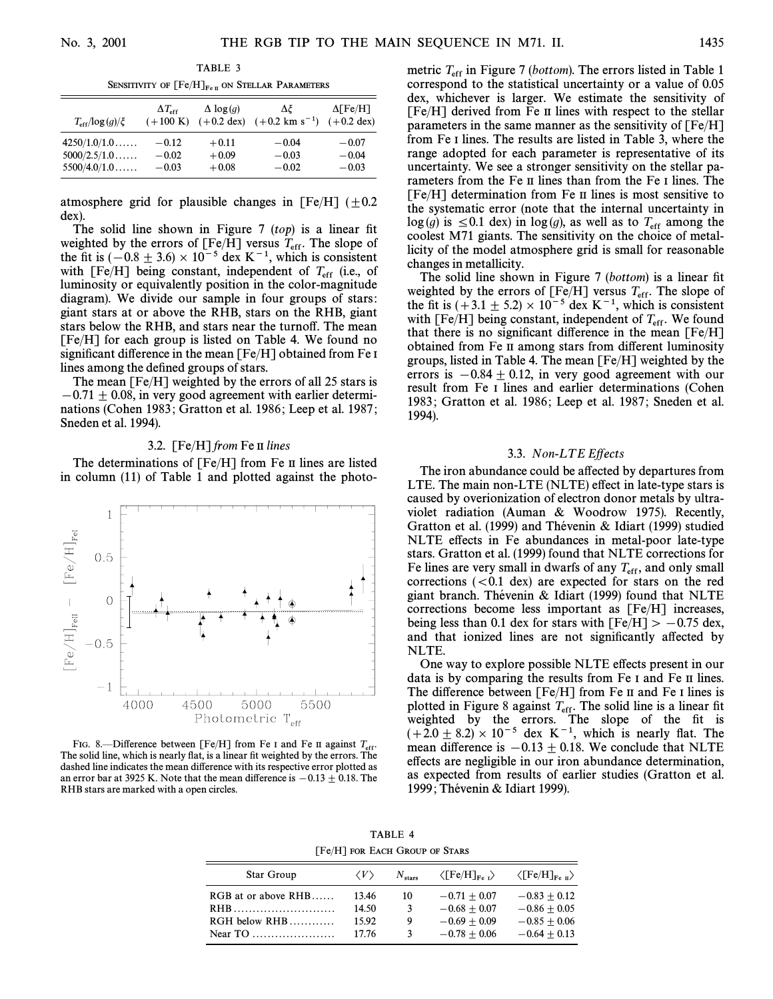TABLE 3 SENSITIVITY OF  $[Fe/H]_{Fe\;H}$  on Stellar Parameters

| $T_{\rm eff}/\log(g)/\xi$ | $\Delta T_{\rm eff}$ | $\Delta \log(q)$     | Δξ                         | $\Delta$ [Fe/H]      |
|---------------------------|----------------------|----------------------|----------------------------|----------------------|
|                           | $(+100 K)$           | $(+0.2 \text{ dex})$ | $(+0.2 \text{ km s}^{-1})$ | $(+0.2 \text{ dex})$ |
| $4250/1.0/1.0 \ldots$     | $-0.12$              | $+0.11$              | $-0.04$                    | $-0.07$              |
| 5000/2.5/1.0              | $-0.02$              | $+0.09$              | $-0.03$                    | $-0.04$              |
| $5500/4.0/1.0\dots$       | $-0.03$              | $+0.08$              | $-0.02$                    | $-0.03$              |

atmosphere grid for plausible changes in [Fe/H]  $(\pm 0.2)$ dex).

The solid line shown in Figure 7  $(top)$  is a linear fit weighted by the errors of  $[Fe/H]$  versus  $T_{eff}$ . The slope of the fit is  $(-0.8 \pm 3.6) \times 10^{-5}$  dex K<sup>-1</sup>, which is consistent with [Fe/H] being constant, independent of  $T_{\text{eff}}$  (i.e., of luminosity or equivalently position in the color-magnitude diagram). We divide our sample in four groups of stars: giant stars at or above the RHB, stars on the RHB, giant stars below the RHB, and stars near the turnoff. The mean [Fe/H] for each group is listed on Table 4. We found no significant difference in the mean  $[Fe/H]$  obtained from Fe I lines among the defined groups of stars.

The mean [Fe/H] weighted by the errors of all 25 stars is  $(-0.71 \pm 0.08)$ , in very good agreement with earlier determinations (Cohen 1983; Gratton et al. 1986; Leep et al. 1987; Sneden et al. 1994).

### 3.2. [Fe/H] from Fe II lines

The determinations of  $[Fe/H]$  from Fe  $\pi$  lines are listed in column (11) of Table 1 and plotted against the photo-



FIG. 8.—Difference between  $[Fe/H]$  from Fe I and Fe II against  $T_{\text{eff}}$ . The solid line, which is nearly flat, is a linear fit weighted by the errors. The dashed line indicates the mean difference with its respective error plotted as an error bar at 3925 K. Note that the mean difference is  $-0.13 \pm 0.18$ . The RHB stars are marked with a open circles.

metric  $T_{\rm eff}$  in Figure 7 (*bottom*). The errors listed in Table 1 correspond to the statistical uncertainty or a value of 0.05 dex, whichever is larger. We estimate the sensitivity of [Fe/H] derived from Fe II lines with respect to the stellar parameters in the same manner as the sensitivity of  $[Fe/H]$ from Fe I lines. The results are listed in Table 3, where the range adopted for each parameter is representative of its uncertainty. We see a stronger sensitivity on the stellar parameters from the Fe II lines than from the Fe I lines. The [Fe/H] determination from Fe II lines is most sensitive to the systematic error (note that the internal uncertainty in  $log(g)$  is  $\leq 0.1$  dex) in  $log(g)$ , as well as to  $T_{\rm eff}$  among the coolest M71 giants. The sensitivity on the choice of metallicity of the model atmosphere grid is small for reasonable changes in metallicity.

The solid line shown in Figure  $7$  (bottom) is a linear fit weighted by the errors of  $[Fe/H]$  versus  $T_{eff}$ . The slope of the fit is  $(1.31 + 5.2) \times 10^{-5}$  dex K<sup>-1</sup> which is consistent the fit is  $(+3.1 \pm 5.2) \times 10^{-5}$  dex K<sup>-1</sup>, which is consistent with  $[Fe/H]$  being constant, independent of  $T_{\text{eff}}$ . We found that there is no significant difference in the mean  $[Fe/H]$ that there is no significant difference in the mean  $[Fe/H]$ obtained from Fe II among stars from different luminosity groups, listed in Table 4. The mean [Fe/H] weighted by the errors is  $-0.84 \pm 0.12$ , in very good agreement with our result from Fe I lines and earlier determinations (Cohen 1983; Gratton et al. 1986; Leep et al. 1987; Sneden et al. 1994).

## 3.3. Non-LTE Effects

The iron abundance could be affected by departures from LTE. The main non-LTE (NLTE) effect in late-type stars is caused by overionization of electron donor metals by ultraviolet radiation (Auman & Woodrow 1975). Recently, Gratton et al. (1999) and Thévenin & Idiart (1999) studied NLTE effects in Fe abundances in metal-poor late-type stars. Gratton et al. (1999) found that NLTE corrections for Fe lines are very small in dwarfs of any  $T_{\text{eff}}$ , and only small<br>corrections ( $\angle$ 0.1 dex) are expected for stars on the red corrections  $( $0.1$  dex) are expected for stars on the red$ giant branch. Thévenin & Idiart (1999) found that NLTE corrections become less important as [Fe/H] increases, being less than 0.1 dex for stars with  $[Fe/H] > -0.75$  dex, and that ionized lines are not significantly affected by NLTE.

One way to explore possible NLTE effects present in our data is by comparing the results from Fe I and Fe II lines. The difference between  $[Fe/H]$  from Fe II and Fe I lines is plotted in Figure 8 against  $T_{\text{eff}}$ . The solid line is a linear fit weighted by the errors. The slope of the fit is  $(+2.0 \pm 8.2) \times 10^{-5}$  dex K<sup>-1</sup>, which is nearly flat. The mean difference is  $-0.13 \pm 0.18$ . We conclude that NLTE effects are negligible in our iron abundance determination, as expected from results of earlier studies (Gratton et al. 1999; Thévenin & Idiart 1999).

TABLE 4 [Fe/H] FOR EACH GROUP OF STARS

| Star Group                                                                                           | $\langle V \rangle$              | $N_{\text{stare}}$ | $\langle$ [Fe/H] <sub>Ee</sub> ,                                     | $\langle$ [Fe/H] <sub>Ee, n</sub> $\rangle$                          |
|------------------------------------------------------------------------------------------------------|----------------------------------|--------------------|----------------------------------------------------------------------|----------------------------------------------------------------------|
| $RGB$ at or above $RHB$<br>RHB<br>$RGH$ below $RHB$<br>Near TO $\dots\dots\dots\dots\dots\dots\dots$ | 13.46<br>14.50<br>15.92<br>17.76 | 10<br>3<br>9<br>3  | $-0.71 + 0.07$<br>$-0.68 + 0.07$<br>$-0.69 + 0.09$<br>$-0.78 + 0.06$ | $-0.83 + 0.12$<br>$-0.86 + 0.05$<br>$-0.85 + 0.06$<br>$-0.64 + 0.13$ |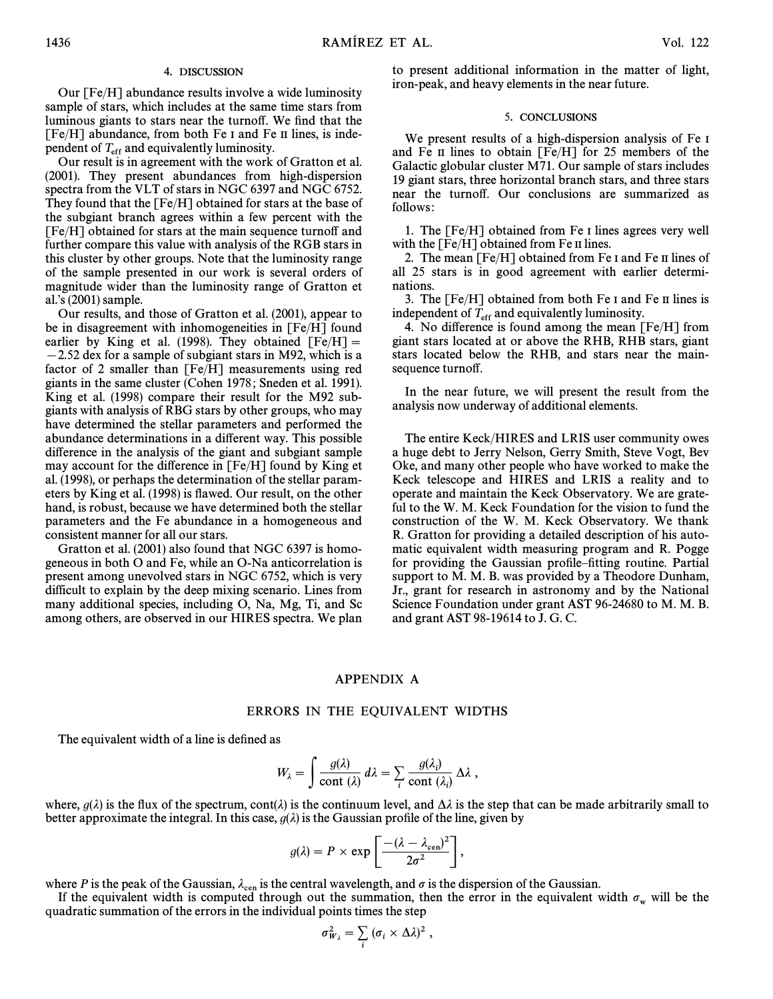### 4. DISCUSSION

Our [Fe/H] abundance results involve a wide luminosity sample of stars, which includes at the same time stars from luminous giants to stars near the turnoff. We find that the  $[Fe/H]$  abundance, from both Fe I and Fe II lines, is independent of  $T_{\text{eff}}$  and equivalently luminosity.

Our result is in agreement with the work of Gratton et al. (2001). They present abundances from high-dispersion spectra from the VLT of stars in NGC 6397 and NGC 6752. They found that the [Fe/H] obtained for stars at the base of the subgiant branch agrees within a few percent with the  $[Fe/H]$  obtained for stars at the main sequence turnoff and further compare this value with analysis of the RGB stars in this cluster by other groups. Note that the luminosity range of the sample presented in our work is several orders of magnitude wider than the luminosity range of Gratton et al.'s  $(2001)$  sample.

Our results, and those of Gratton et al. (2001), appear to be in disagreement with inhomogeneities in [Fe/H] found earlier by King et al. (1998). They obtained  $[Fe/H] =$  $-2.52$  dex for a sample of subgiant stars in M92, which is a factor of 2 smaller than [Fe/H] measurements using red giants in the same cluster (Cohen 1978 ; Sneden et al. 1991). King et al. (1998) compare their result for the M92 subgiants with analysis of RBG stars by other groups, who may have determined the stellar parameters and performed the abundance determinations in a different way. This possible difference in the analysis of the giant and subgiant sample may account for the difference in  $[Fe/H]$  found by King et al. (1998), or perhaps the determination of the stellar parameters by King et al. (1998) is flawed. Our result, on the other hand, is robust, because we have determined both the stellar parameters and the Fe abundance in a homogeneous and consistent manner for all our stars.

Gratton et al. (2001) also found that NGC 6397 is homogeneous in both O and Fe, while an O-Na anticorrelation is present among unevolved stars in NGC 6752, which is very difficult to explain by the deep mixing scenario. Lines from many additional species, including O, Na, Mg, Ti, and Sc among others, are observed in our HIRES spectra. We plan to present additional information in the matter of light, iron-peak, and heavy elements in the near future.

## 5. CONCLUSIONS

We present results of a high-dispersion analysis of Fe I and Fe II lines to obtain [Fe/H] for 25 members of the Galactic globular cluster M71. Our sample of stars includes 19 giant stars, three horizontal branch stars, and three stars near the turno†. Our conclusions are summarized as follows :

1. The [Fe/H] obtained from Fe I lines agrees very well with the  $[Fe/H]$  obtained from Fe II lines.

2. The mean  $[Fe/H]$  obtained from Fe I and Fe II lines of all 25 stars is in good agreement with earlier determinations.

3. The  $[Fe/H]$  obtained from both Fe I and Fe II lines is independent of  $T_{\text{eff}}$  and equivalently luminosity.

4. No difference is found among the mean  $[Fe/H]$  from giant stars located at or above the RHB, RHB stars, giant stars located below the RHB, and stars near the mainsequence turnoff.

In the near future, we will present the result from the analysis now underway of additional elements.

The entire Keck/HIRES and LRIS user community owes a huge debt to Jerry Nelson, Gerry Smith, Steve Vogt, Bev Oke, and many other people who have worked to make the Keck telescope and HIRES and LRIS a reality and to operate and maintain the Keck Observatory. We are grateful to the W. M. Keck Foundation for the vision to fund the construction of the W. M. Keck Observatory. We thank R. Gratton for providing a detailed description of his automatic equivalent width measuring program and R. Pogge for providing the Gaussian profile–fitting routine. Partial support to M. M. B. was provided by a Theodore Dunham, Jr., grant for research in astronomy and by the National Science Foundation under grant AST 96-24680 to M. M. B. and grant AST 98-19614 to J. G. C.

# APPENDIX A

## ERRORS IN THE EQUIVALENT WIDTHS

The equivalent width of a line is defined as

$$
W_{\lambda} = \int \frac{g(\lambda)}{\text{cont}(\lambda)} d\lambda = \sum_{i} \frac{g(\lambda_{i})}{\text{cont}(\lambda_{i})} \Delta \lambda ,
$$

where,  $g(\lambda)$  is the flux of the spectrum, cont( $\lambda$ ) is the continuum level, and  $\Delta\lambda$  is the step that can be made arbitrarily small to better approximate the integral. In this case,  $g(\lambda)$  is the Gaussian profile of the line, given by

$$
g(\lambda) = P \times \exp \left[ \frac{-(\lambda - \lambda_{\rm cen})^2}{2\sigma^2} \right],
$$

where P is the peak of the Gaussian,  $\lambda_{\text{cen}}$  is the central wavelength, and  $\sigma$  is the dispersion of the Gaussian.<br>If the equivalent width is computed through out the summation, then the error in the equivalent width <sup>w</sup> quadratic summation of the errors in the individual points times the step

$$
\sigma_{W_{\lambda}}^2 = \sum_i (\sigma_i \times \Delta \lambda)^2 ,
$$